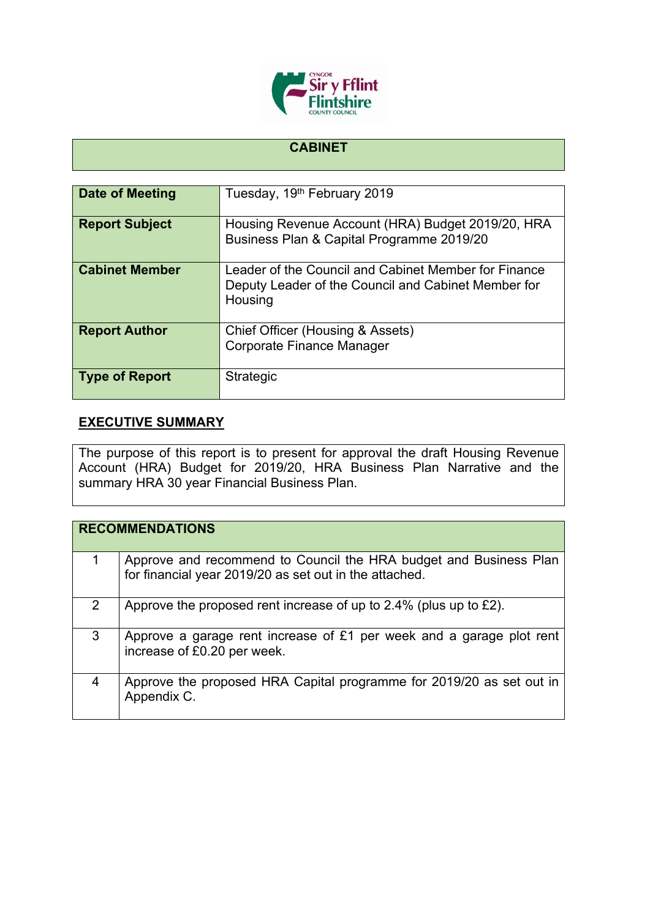

## **CABINET**

| Date of Meeting       | Tuesday, 19 <sup>th</sup> February 2019                                                                                |
|-----------------------|------------------------------------------------------------------------------------------------------------------------|
| <b>Report Subject</b> | Housing Revenue Account (HRA) Budget 2019/20, HRA<br>Business Plan & Capital Programme 2019/20                         |
| <b>Cabinet Member</b> | Leader of the Council and Cabinet Member for Finance<br>Deputy Leader of the Council and Cabinet Member for<br>Housing |
| <b>Report Author</b>  | Chief Officer (Housing & Assets)<br>Corporate Finance Manager                                                          |
| <b>Type of Report</b> | <b>Strategic</b>                                                                                                       |

## **EXECUTIVE SUMMARY**

The purpose of this report is to present for approval the draft Housing Revenue Account (HRA) Budget for 2019/20, HRA Business Plan Narrative and the summary HRA 30 year Financial Business Plan.

|               | <b>RECOMMENDATIONS</b>                                                                                                      |
|---------------|-----------------------------------------------------------------------------------------------------------------------------|
|               | Approve and recommend to Council the HRA budget and Business Plan<br>for financial year 2019/20 as set out in the attached. |
| $\mathcal{P}$ | Approve the proposed rent increase of up to 2.4% (plus up to £2).                                                           |
| 3             | Approve a garage rent increase of £1 per week and a garage plot rent<br>increase of £0.20 per week.                         |
| 4             | Approve the proposed HRA Capital programme for 2019/20 as set out in<br>Appendix C.                                         |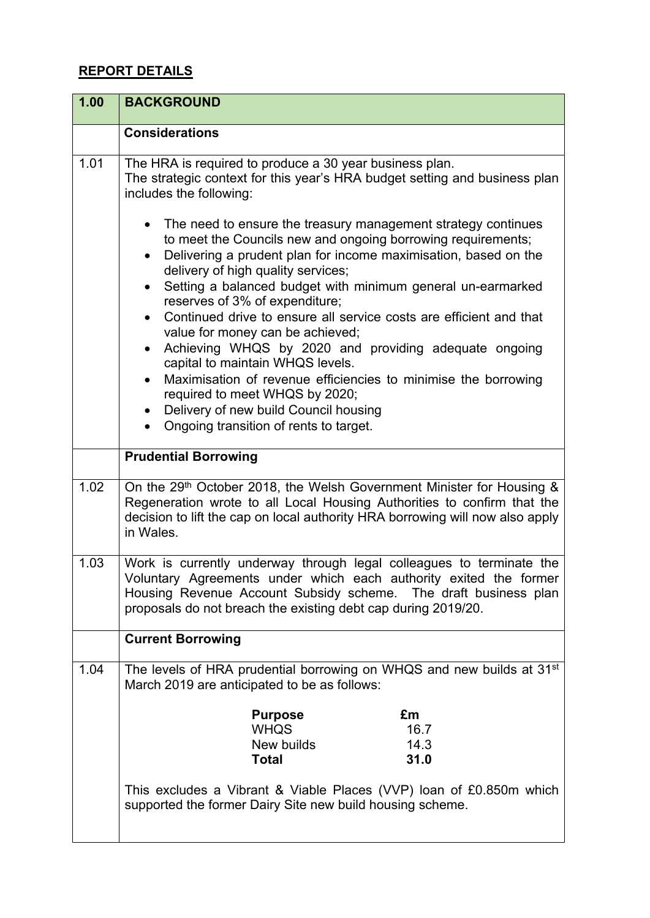## **REPORT DETAILS**

| 1.00 | <b>BACKGROUND</b>                                                                                                                                                                                                                                                             |
|------|-------------------------------------------------------------------------------------------------------------------------------------------------------------------------------------------------------------------------------------------------------------------------------|
|      | <b>Considerations</b>                                                                                                                                                                                                                                                         |
| 1.01 | The HRA is required to produce a 30 year business plan.<br>The strategic context for this year's HRA budget setting and business plan<br>includes the following:                                                                                                              |
|      | The need to ensure the treasury management strategy continues<br>$\bullet$<br>to meet the Councils new and ongoing borrowing requirements;<br>Delivering a prudent plan for income maximisation, based on the<br>$\bullet$<br>delivery of high quality services;              |
|      | Setting a balanced budget with minimum general un-earmarked<br>$\bullet$<br>reserves of 3% of expenditure;<br>Continued drive to ensure all service costs are efficient and that<br>$\bullet$                                                                                 |
|      | value for money can be achieved;<br>Achieving WHQS by 2020 and providing adequate ongoing<br>$\bullet$                                                                                                                                                                        |
|      | capital to maintain WHQS levels.<br>Maximisation of revenue efficiencies to minimise the borrowing<br>$\bullet$<br>required to meet WHQS by 2020;<br>Delivery of new build Council housing<br>$\bullet$<br>Ongoing transition of rents to target.                             |
|      | <b>Prudential Borrowing</b>                                                                                                                                                                                                                                                   |
| 1.02 | On the 29th October 2018, the Welsh Government Minister for Housing &<br>Regeneration wrote to all Local Housing Authorities to confirm that the<br>decision to lift the cap on local authority HRA borrowing will now also apply<br>in Wales.                                |
| 1.03 | Work is currently underway through legal colleagues to terminate the<br>Voluntary Agreements under which each authority exited the former<br>Housing Revenue Account Subsidy scheme. The draft business plan<br>proposals do not breach the existing debt cap during 2019/20. |
|      | <b>Current Borrowing</b>                                                                                                                                                                                                                                                      |
| 1.04 | The levels of HRA prudential borrowing on WHQS and new builds at 31 <sup>st</sup><br>March 2019 are anticipated to be as follows:                                                                                                                                             |
|      | <b>Purpose</b><br>£m<br><b>WHQS</b><br>16.7<br>New builds<br>14.3<br>31.0<br><b>Total</b>                                                                                                                                                                                     |
|      | This excludes a Vibrant & Viable Places (VVP) loan of £0.850m which<br>supported the former Dairy Site new build housing scheme.                                                                                                                                              |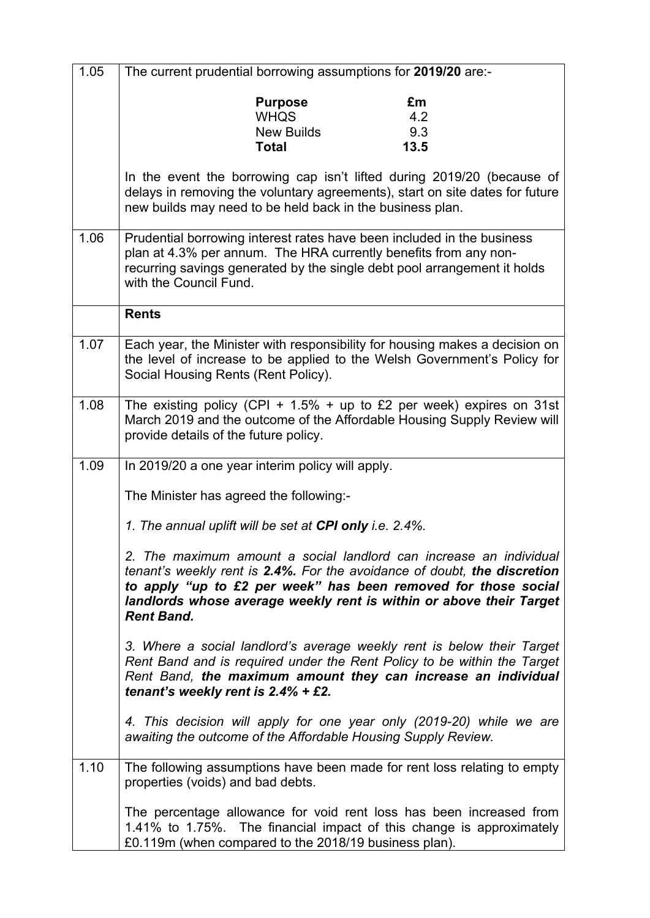| 1.05 | The current prudential borrowing assumptions for 2019/20 are:-                                                                                                                                                                                                                                               |  |
|------|--------------------------------------------------------------------------------------------------------------------------------------------------------------------------------------------------------------------------------------------------------------------------------------------------------------|--|
|      | <b>Purpose</b><br>£m                                                                                                                                                                                                                                                                                         |  |
|      | <b>WHQS</b><br>4.2                                                                                                                                                                                                                                                                                           |  |
|      | 9.3<br><b>New Builds</b>                                                                                                                                                                                                                                                                                     |  |
|      | 13.5<br><b>Total</b>                                                                                                                                                                                                                                                                                         |  |
|      | In the event the borrowing cap isn't lifted during 2019/20 (because of<br>delays in removing the voluntary agreements), start on site dates for future<br>new builds may need to be held back in the business plan.                                                                                          |  |
| 1.06 | Prudential borrowing interest rates have been included in the business<br>plan at 4.3% per annum. The HRA currently benefits from any non-<br>recurring savings generated by the single debt pool arrangement it holds<br>with the Council Fund.                                                             |  |
|      | <b>Rents</b>                                                                                                                                                                                                                                                                                                 |  |
| 1.07 | Each year, the Minister with responsibility for housing makes a decision on<br>the level of increase to be applied to the Welsh Government's Policy for<br>Social Housing Rents (Rent Policy).                                                                                                               |  |
| 1.08 | The existing policy (CPI + $1.5\%$ + up to £2 per week) expires on 31st<br>March 2019 and the outcome of the Affordable Housing Supply Review will<br>provide details of the future policy.                                                                                                                  |  |
| 1.09 | In 2019/20 a one year interim policy will apply.                                                                                                                                                                                                                                                             |  |
|      | The Minister has agreed the following:-                                                                                                                                                                                                                                                                      |  |
|      | 1. The annual uplift will be set at CPI only i.e. 2.4%.                                                                                                                                                                                                                                                      |  |
|      | 2. The maximum amount a social landlord can increase an individual<br>tenant's weekly rent is 2.4%. For the avoidance of doubt, the discretion<br>to apply "up to £2 per week" has been removed for those social<br>landlords whose average weekly rent is within or above their Target<br><b>Rent Band.</b> |  |
|      | 3. Where a social landlord's average weekly rent is below their Target<br>Rent Band and is required under the Rent Policy to be within the Target<br>Rent Band, the maximum amount they can increase an individual<br>tenant's weekly rent is $2.4\%$ + £2.                                                  |  |
|      | 4. This decision will apply for one year only (2019-20) while we are<br>awaiting the outcome of the Affordable Housing Supply Review.                                                                                                                                                                        |  |
| 1.10 | The following assumptions have been made for rent loss relating to empty<br>properties (voids) and bad debts.                                                                                                                                                                                                |  |
|      | The percentage allowance for void rent loss has been increased from<br>1.41% to 1.75%. The financial impact of this change is approximately<br>£0.119m (when compared to the 2018/19 business plan).                                                                                                         |  |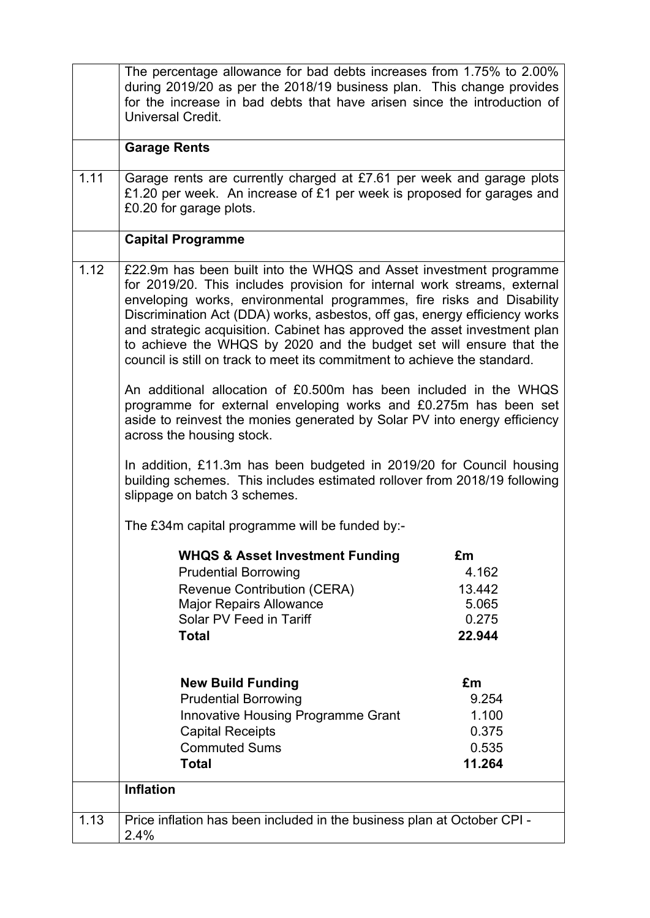|      | The percentage allowance for bad debts increases from 1.75% to 2.00%<br>during 2019/20 as per the 2018/19 business plan. This change provides<br>for the increase in bad debts that have arisen since the introduction of<br>Universal Credit.                                                                                                                                                                                                                                                                                                                                                                                                                                                                                                                                                                                                                    |                |
|------|-------------------------------------------------------------------------------------------------------------------------------------------------------------------------------------------------------------------------------------------------------------------------------------------------------------------------------------------------------------------------------------------------------------------------------------------------------------------------------------------------------------------------------------------------------------------------------------------------------------------------------------------------------------------------------------------------------------------------------------------------------------------------------------------------------------------------------------------------------------------|----------------|
|      | <b>Garage Rents</b>                                                                                                                                                                                                                                                                                                                                                                                                                                                                                                                                                                                                                                                                                                                                                                                                                                               |                |
| 1.11 | Garage rents are currently charged at £7.61 per week and garage plots<br>£1.20 per week. An increase of £1 per week is proposed for garages and<br>£0.20 for garage plots.                                                                                                                                                                                                                                                                                                                                                                                                                                                                                                                                                                                                                                                                                        |                |
|      | <b>Capital Programme</b>                                                                                                                                                                                                                                                                                                                                                                                                                                                                                                                                                                                                                                                                                                                                                                                                                                          |                |
| 1.12 | £22.9m has been built into the WHQS and Asset investment programme<br>for 2019/20. This includes provision for internal work streams, external<br>enveloping works, environmental programmes, fire risks and Disability<br>Discrimination Act (DDA) works, asbestos, off gas, energy efficiency works<br>and strategic acquisition. Cabinet has approved the asset investment plan<br>to achieve the WHQS by 2020 and the budget set will ensure that the<br>council is still on track to meet its commitment to achieve the standard.<br>An additional allocation of £0.500m has been included in the WHQS<br>programme for external enveloping works and £0.275m has been set<br>aside to reinvest the monies generated by Solar PV into energy efficiency<br>across the housing stock.<br>In addition, £11.3m has been budgeted in 2019/20 for Council housing |                |
|      | building schemes. This includes estimated rollover from 2018/19 following<br>slippage on batch 3 schemes.                                                                                                                                                                                                                                                                                                                                                                                                                                                                                                                                                                                                                                                                                                                                                         |                |
|      | The £34m capital programme will be funded by:-                                                                                                                                                                                                                                                                                                                                                                                                                                                                                                                                                                                                                                                                                                                                                                                                                    |                |
|      | <b>WHQS &amp; Asset Investment Funding</b>                                                                                                                                                                                                                                                                                                                                                                                                                                                                                                                                                                                                                                                                                                                                                                                                                        | £m             |
|      | <b>Prudential Borrowing</b>                                                                                                                                                                                                                                                                                                                                                                                                                                                                                                                                                                                                                                                                                                                                                                                                                                       | 4.162          |
|      | <b>Revenue Contribution (CERA)</b>                                                                                                                                                                                                                                                                                                                                                                                                                                                                                                                                                                                                                                                                                                                                                                                                                                | 13.442         |
|      | <b>Major Repairs Allowance</b><br>Solar PV Feed in Tariff                                                                                                                                                                                                                                                                                                                                                                                                                                                                                                                                                                                                                                                                                                                                                                                                         | 5.065<br>0.275 |
|      |                                                                                                                                                                                                                                                                                                                                                                                                                                                                                                                                                                                                                                                                                                                                                                                                                                                                   | 22.944         |
|      | <b>Total</b>                                                                                                                                                                                                                                                                                                                                                                                                                                                                                                                                                                                                                                                                                                                                                                                                                                                      |                |
|      | <b>New Build Funding</b>                                                                                                                                                                                                                                                                                                                                                                                                                                                                                                                                                                                                                                                                                                                                                                                                                                          | £m             |
|      | <b>Prudential Borrowing</b>                                                                                                                                                                                                                                                                                                                                                                                                                                                                                                                                                                                                                                                                                                                                                                                                                                       | 9.254          |
|      | <b>Innovative Housing Programme Grant</b>                                                                                                                                                                                                                                                                                                                                                                                                                                                                                                                                                                                                                                                                                                                                                                                                                         | 1.100          |
|      | <b>Capital Receipts</b>                                                                                                                                                                                                                                                                                                                                                                                                                                                                                                                                                                                                                                                                                                                                                                                                                                           | 0.375          |
|      | <b>Commuted Sums</b>                                                                                                                                                                                                                                                                                                                                                                                                                                                                                                                                                                                                                                                                                                                                                                                                                                              | 0.535          |
|      | <b>Total</b>                                                                                                                                                                                                                                                                                                                                                                                                                                                                                                                                                                                                                                                                                                                                                                                                                                                      | 11.264         |
|      | <b>Inflation</b>                                                                                                                                                                                                                                                                                                                                                                                                                                                                                                                                                                                                                                                                                                                                                                                                                                                  |                |
| 1.13 | Price inflation has been included in the business plan at October CPI -<br>2.4%                                                                                                                                                                                                                                                                                                                                                                                                                                                                                                                                                                                                                                                                                                                                                                                   |                |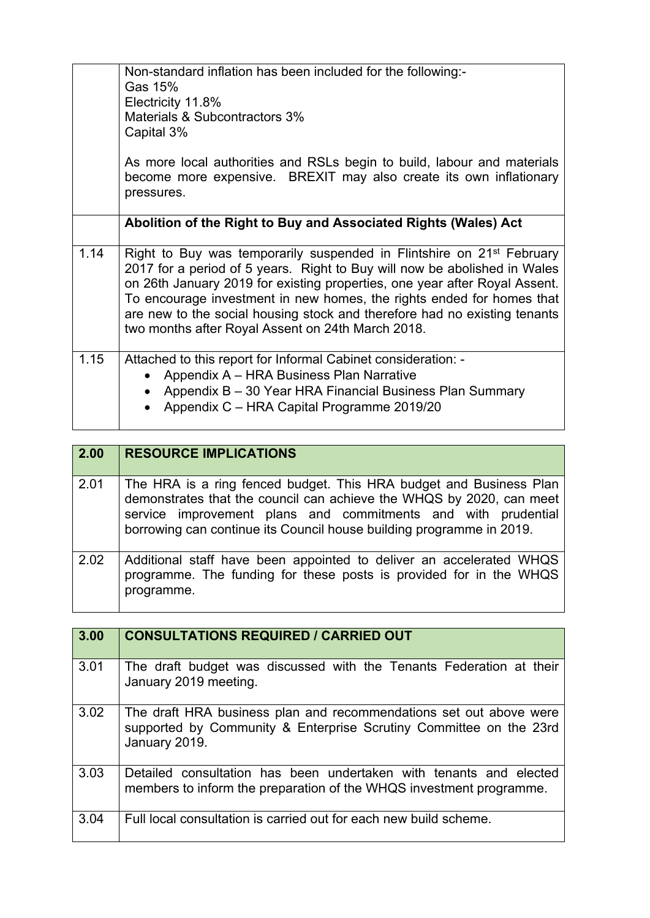|      | Non-standard inflation has been included for the following:-<br>Gas 15%<br>Electricity 11.8%<br>Materials & Subcontractors 3%<br>Capital 3%                                                                                                                                                                                                                                                                                                             |
|------|---------------------------------------------------------------------------------------------------------------------------------------------------------------------------------------------------------------------------------------------------------------------------------------------------------------------------------------------------------------------------------------------------------------------------------------------------------|
|      | As more local authorities and RSLs begin to build, labour and materials<br>become more expensive. BREXIT may also create its own inflationary<br>pressures.                                                                                                                                                                                                                                                                                             |
|      | Abolition of the Right to Buy and Associated Rights (Wales) Act                                                                                                                                                                                                                                                                                                                                                                                         |
| 1.14 | Right to Buy was temporarily suspended in Flintshire on 21 <sup>st</sup> February<br>2017 for a period of 5 years. Right to Buy will now be abolished in Wales<br>on 26th January 2019 for existing properties, one year after Royal Assent.<br>To encourage investment in new homes, the rights ended for homes that<br>are new to the social housing stock and therefore had no existing tenants<br>two months after Royal Assent on 24th March 2018. |
| 1.15 | Attached to this report for Informal Cabinet consideration: -<br>Appendix A - HRA Business Plan Narrative<br>Appendix B - 30 Year HRA Financial Business Plan Summary<br>$\bullet$<br>Appendix C - HRA Capital Programme 2019/20                                                                                                                                                                                                                        |

| 2.00 | <b>RESOURCE IMPLICATIONS</b>                                                                                                                                                                                                                                                        |
|------|-------------------------------------------------------------------------------------------------------------------------------------------------------------------------------------------------------------------------------------------------------------------------------------|
| 2.01 | The HRA is a ring fenced budget. This HRA budget and Business Plan<br>demonstrates that the council can achieve the WHQS by 2020, can meet<br>service improvement plans and commitments and with prudential<br>borrowing can continue its Council house building programme in 2019. |
| 2.02 | Additional staff have been appointed to deliver an accelerated WHQS<br>programme. The funding for these posts is provided for in the WHQS<br>programme.                                                                                                                             |

| 3.00 | <b>CONSULTATIONS REQUIRED / CARRIED OUT</b>                                                                                                               |
|------|-----------------------------------------------------------------------------------------------------------------------------------------------------------|
| 3.01 | The draft budget was discussed with the Tenants Federation at their<br>January 2019 meeting.                                                              |
| 3.02 | The draft HRA business plan and recommendations set out above were<br>supported by Community & Enterprise Scrutiny Committee on the 23rd<br>January 2019. |
| 3.03 | Detailed consultation has been undertaken with tenants and elected<br>members to inform the preparation of the WHQS investment programme.                 |
| 3.04 | Full local consultation is carried out for each new build scheme.                                                                                         |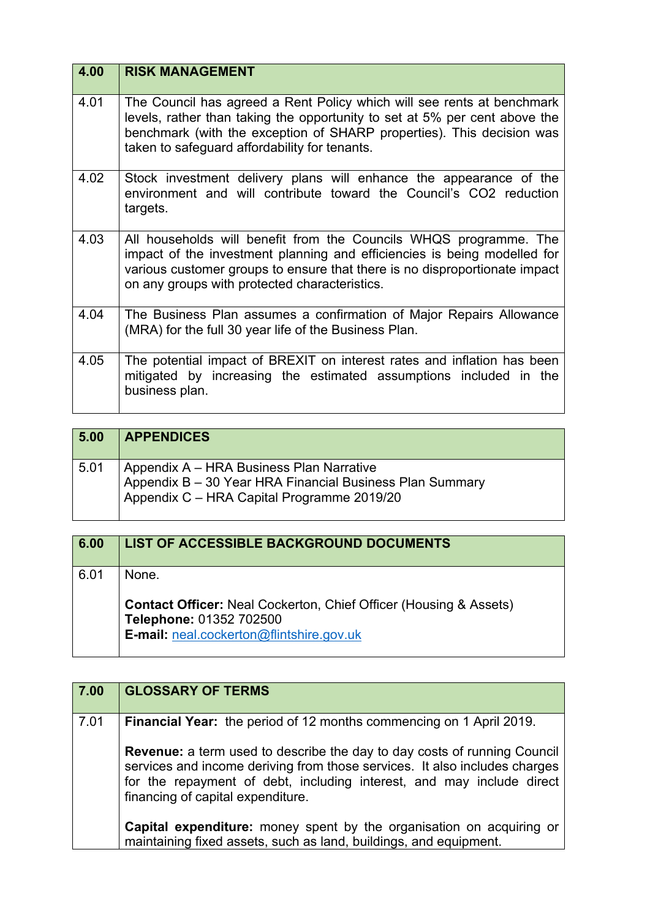| 4.00 | <b>RISK MANAGEMENT</b>                                                                                                                                                                                                                                                         |
|------|--------------------------------------------------------------------------------------------------------------------------------------------------------------------------------------------------------------------------------------------------------------------------------|
| 4.01 | The Council has agreed a Rent Policy which will see rents at benchmark<br>levels, rather than taking the opportunity to set at 5% per cent above the<br>benchmark (with the exception of SHARP properties). This decision was<br>taken to safeguard affordability for tenants. |
| 4.02 | Stock investment delivery plans will enhance the appearance of the<br>environment and will contribute toward the Council's CO2 reduction<br>targets.                                                                                                                           |
| 4.03 | All households will benefit from the Councils WHQS programme. The<br>impact of the investment planning and efficiencies is being modelled for<br>various customer groups to ensure that there is no disproportionate impact<br>on any groups with protected characteristics.   |
| 4.04 | The Business Plan assumes a confirmation of Major Repairs Allowance<br>(MRA) for the full 30 year life of the Business Plan.                                                                                                                                                   |
| 4.05 | The potential impact of BREXIT on interest rates and inflation has been<br>mitigated by increasing the estimated assumptions included in the<br>business plan.                                                                                                                 |

| 5.00 | <b>APPENDICES</b>                                                                                                                                  |
|------|----------------------------------------------------------------------------------------------------------------------------------------------------|
| 5.01 | Appendix A – HRA Business Plan Narrative<br>Appendix B - 30 Year HRA Financial Business Plan Summary<br>Appendix C - HRA Capital Programme 2019/20 |

| 6.00 | LIST OF ACCESSIBLE BACKGROUND DOCUMENTS                                                             |
|------|-----------------------------------------------------------------------------------------------------|
| 6.01 | None.                                                                                               |
|      | <b>Contact Officer:</b> Neal Cockerton, Chief Officer (Housing & Assets)<br>Telephone: 01352 702500 |
|      | <b>E-mail:</b> neal.cockerton@flintshire.gov.uk                                                     |

| <b>GLOSSARY OF TERMS</b>                                                                                                                                                                                                                                                    |
|-----------------------------------------------------------------------------------------------------------------------------------------------------------------------------------------------------------------------------------------------------------------------------|
| <b>Financial Year:</b> the period of 12 months commencing on 1 April 2019.                                                                                                                                                                                                  |
| <b>Revenue:</b> a term used to describe the day to day costs of running Council<br>services and income deriving from those services. It also includes charges<br>for the repayment of debt, including interest, and may include direct<br>financing of capital expenditure. |
| Capital expenditure: money spent by the organisation on acquiring or<br>maintaining fixed assets, such as land, buildings, and equipment.                                                                                                                                   |
|                                                                                                                                                                                                                                                                             |